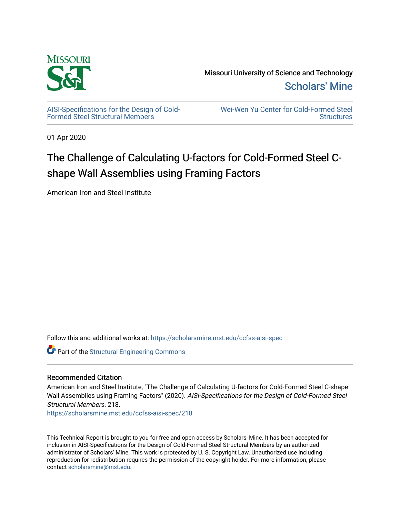

[AISI-Specifications for the Design of Cold-](https://scholarsmine.mst.edu/ccfss-aisi-spec)[Formed Steel Structural Members](https://scholarsmine.mst.edu/ccfss-aisi-spec)

[Wei-Wen Yu Center for Cold-Formed Steel](https://scholarsmine.mst.edu/ccfss)  **Structures** 

01 Apr 2020

# The Challenge of Calculating U-factors for Cold-Formed Steel Cshape Wall Assemblies using Framing Factors

American Iron and Steel Institute

Follow this and additional works at: [https://scholarsmine.mst.edu/ccfss-aisi-spec](https://scholarsmine.mst.edu/ccfss-aisi-spec?utm_source=scholarsmine.mst.edu%2Fccfss-aisi-spec%2F218&utm_medium=PDF&utm_campaign=PDFCoverPages) 

**Part of the Structural Engineering Commons** 

### Recommended Citation

American Iron and Steel Institute, "The Challenge of Calculating U-factors for Cold-Formed Steel C-shape Wall Assemblies using Framing Factors" (2020). AISI-Specifications for the Design of Cold-Formed Steel Structural Members. 218.

[https://scholarsmine.mst.edu/ccfss-aisi-spec/218](https://scholarsmine.mst.edu/ccfss-aisi-spec/218?utm_source=scholarsmine.mst.edu%2Fccfss-aisi-spec%2F218&utm_medium=PDF&utm_campaign=PDFCoverPages) 

This Technical Report is brought to you for free and open access by Scholars' Mine. It has been accepted for inclusion in AISI-Specifications for the Design of Cold-Formed Steel Structural Members by an authorized administrator of Scholars' Mine. This work is protected by U. S. Copyright Law. Unauthorized use including reproduction for redistribution requires the permission of the copyright holder. For more information, please contact [scholarsmine@mst.edu](mailto:scholarsmine@mst.edu).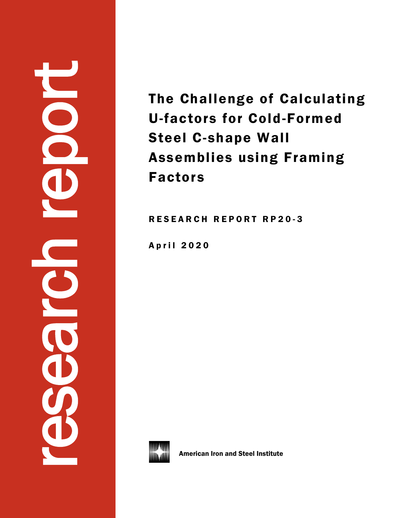# research report

The Challenge of Calculating U-factors for Cold-Formed Steel C-shape Wall Assemblies using Framing Factors

R E S E A R C H R E P O R T R P 2 0 - 3

April 2020



American Iron and Steel Institute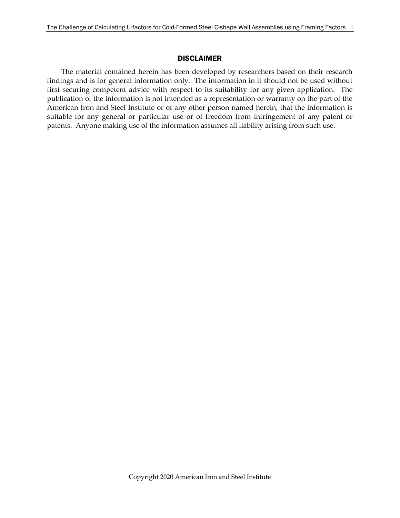### DISCLAIMER

The material contained herein has been developed by researchers based on their research findings and is for general information only. The information in it should not be used without first securing competent advice with respect to its suitability for any given application. The publication of the information is not intended as a representation or warranty on the part of the American Iron and Steel Institute or of any other person named herein, that the information is suitable for any general or particular use or of freedom from infringement of any patent or patents. Anyone making use of the information assumes all liability arising from such use.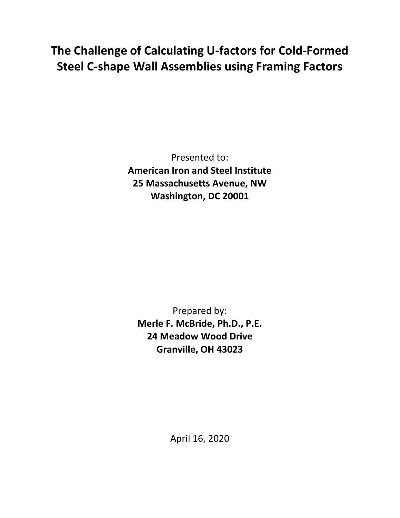# **The Challenge of Calculating U-factors for Cold-Formed Steel C-shape Wall Assemblies using Framing Factors**

Presented to: **American Iron and Steel Institute 25 Massachusetts Avenue, NW Washington, DC 20001**

Prepared by: **Merle F. McBride, Ph.D., P.E. 24 Meadow Wood Drive Granville, OH 43023**

April 16, 2020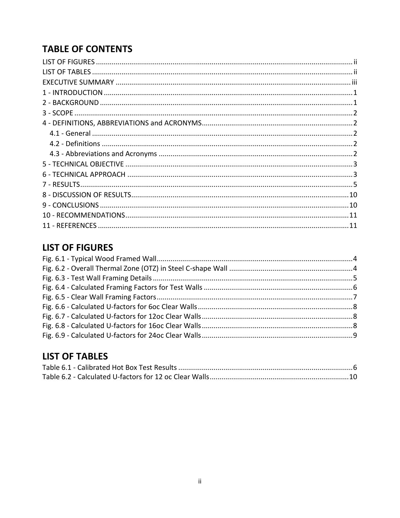# **TABLE OF CONTENTS**

# <span id="page-4-0"></span>**LIST OF FIGURES**

# <span id="page-4-1"></span>**LIST OF TABLES**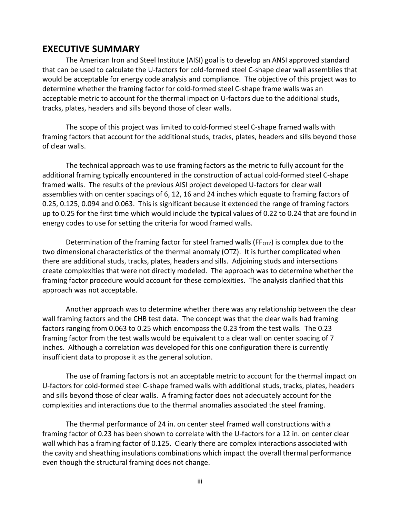# <span id="page-5-0"></span>**EXECUTIVE SUMMARY**

The American Iron and Steel Institute (AISI) goal is to develop an ANSI approved standard that can be used to calculate the U-factors for cold-formed steel C-shape clear wall assemblies that would be acceptable for energy code analysis and compliance. The objective of this project was to determine whether the framing factor for cold-formed steel C-shape frame walls was an acceptable metric to account for the thermal impact on U-factors due to the additional studs, tracks, plates, headers and sills beyond those of clear walls.

The scope of this project was limited to cold-formed steel C-shape framed walls with framing factors that account for the additional studs, tracks, plates, headers and sills beyond those of clear walls.

The technical approach was to use framing factors as the metric to fully account for the additional framing typically encountered in the construction of actual cold-formed steel C-shape framed walls. The results of the previous AISI project developed U-factors for clear wall assemblies with on center spacings of 6, 12, 16 and 24 inches which equate to framing factors of 0.25, 0.125, 0.094 and 0.063. This is significant because it extended the range of framing factors up to 0.25 for the first time which would include the typical values of 0.22 to 0.24 that are found in energy codes to use for setting the criteria for wood framed walls.

Determination of the framing factor for steel framed walls (FF<sub>OTZ</sub>) is complex due to the two dimensional characteristics of the thermal anomaly (OTZ). It is further complicated when there are additional studs, tracks, plates, headers and sills. Adjoining studs and intersections create complexities that were not directly modeled. The approach was to determine whether the framing factor procedure would account for these complexities. The analysis clarified that this approach was not acceptable.

Another approach was to determine whether there was any relationship between the clear wall framing factors and the CHB test data. The concept was that the clear walls had framing factors ranging from 0.063 to 0.25 which encompass the 0.23 from the test walls. The 0.23 framing factor from the test walls would be equivalent to a clear wall on center spacing of 7 inches. Although a correlation was developed for this one configuration there is currently insufficient data to propose it as the general solution.

The use of framing factors is not an acceptable metric to account for the thermal impact on U-factors for cold-formed steel C-shape framed walls with additional studs, tracks, plates, headers and sills beyond those of clear walls. A framing factor does not adequately account for the complexities and interactions due to the thermal anomalies associated the steel framing.

The thermal performance of 24 in. on center steel framed wall constructions with a framing factor of 0.23 has been shown to correlate with the U-factors for a 12 in. on center clear wall which has a framing factor of 0.125. Clearly there are complex interactions associated with the cavity and sheathing insulations combinations which impact the overall thermal performance even though the structural framing does not change.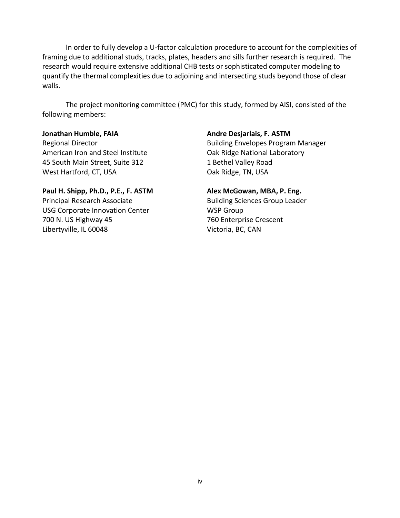In order to fully develop a U-factor calculation procedure to account for the complexities of framing due to additional studs, tracks, plates, headers and sills further research is required. The research would require extensive additional CHB tests or sophisticated computer modeling to quantify the thermal complexities due to adjoining and intersecting studs beyond those of clear walls.

The project monitoring committee (PMC) for this study, formed by AISI, consisted of the following members:

American Iron and Steel Institute Oak Ridge National Laboratory 45 South Main Street, Suite 312 1 Bethel Valley Road West Hartford, CT, USA **Oak Ridge, TN, USA** 

### **Paul H. Shipp, Ph.D., P.E., F. ASTM Alex McGowan, MBA, P. Eng.** Principal Research Associate **Building Sciences Group Leader** USG Corporate Innovation Center WSP Group 700 N. US Highway 45 760 Enterprise Crescent Libertyville, IL 60048 Victoria, BC, CAN

### **Jonathan Humble, FAIA Andre Desjarlais, F. ASTM**

Regional Director **Building Envelopes Program Manager** Building Envelopes Program Manager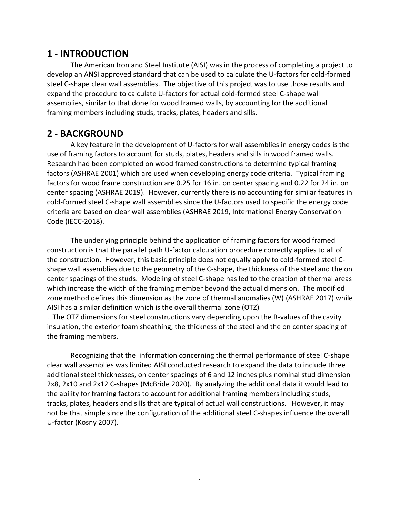# <span id="page-7-0"></span>**1 - INTRODUCTION**

The American Iron and Steel Institute (AISI) was in the process of completing a project to develop an ANSI approved standard that can be used to calculate the U-factors for cold-formed steel C-shape clear wall assemblies. The objective of this project was to use those results and expand the procedure to calculate U-factors for actual cold-formed steel C-shape wall assemblies, similar to that done for wood framed walls, by accounting for the additional framing members including studs, tracks, plates, headers and sills.

# <span id="page-7-1"></span>**2 - BACKGROUND**

A key feature in the development of U-factors for wall assemblies in energy codes is the use of framing factors to account for studs, plates, headers and sills in wood framed walls. Research had been completed on wood framed constructions to determine typical framing factors (ASHRAE 2001) which are used when developing energy code criteria. Typical framing factors for wood frame construction are 0.25 for 16 in. on center spacing and 0.22 for 24 in. on center spacing (ASHRAE 2019). However, currently there is no accounting for similar features in cold-formed steel C-shape wall assemblies since the U-factors used to specific the energy code criteria are based on clear wall assemblies (ASHRAE 2019, International Energy Conservation Code (IECC-2018).

The underlying principle behind the application of framing factors for wood framed construction is that the parallel path U-factor calculation procedure correctly applies to all of the construction. However, this basic principle does not equally apply to cold-formed steel Cshape wall assemblies due to the geometry of the C-shape, the thickness of the steel and the on center spacings of the studs. Modeling of steel C-shape has led to the creation of thermal areas which increase the width of the framing member beyond the actual dimension. The modified zone method defines this dimension as the zone of thermal anomalies (W) (ASHRAE 2017) while AISI has a similar definition which is the overall thermal zone (OTZ)

. The OTZ dimensions for steel constructions vary depending upon the R-values of the cavity insulation, the exterior foam sheathing, the thickness of the steel and the on center spacing of the framing members.

Recognizing that the information concerning the thermal performance of steel C-shape clear wall assemblies was limited AISI conducted research to expand the data to include three additional steel thicknesses, on center spacings of 6 and 12 inches plus nominal stud dimension 2x8, 2x10 and 2x12 C-shapes (McBride 2020). By analyzing the additional data it would lead to the ability for framing factors to account for additional framing members including studs, tracks, plates, headers and sills that are typical of actual wall constructions. However, it may not be that simple since the configuration of the additional steel C-shapes influence the overall U-factor (Kosny 2007).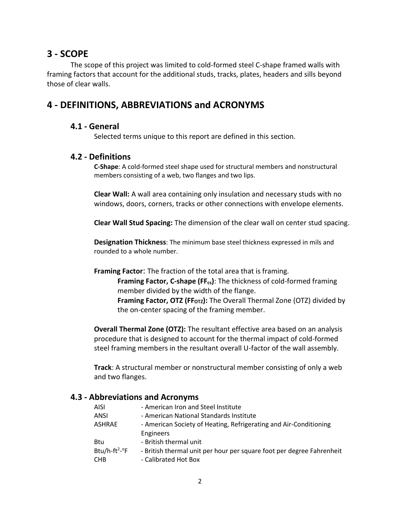# <span id="page-8-0"></span>**3 - SCOPE**

The scope of this project was limited to cold-formed steel C-shape framed walls with framing factors that account for the additional studs, tracks, plates, headers and sills beyond those of clear walls.

# <span id="page-8-2"></span><span id="page-8-1"></span>**4 - DEFINITIONS, ABBREVIATIONS and ACRONYMS**

### **4.1 - General**

Selected terms unique to this report are defined in this section.

### <span id="page-8-3"></span>**4.2 - Definitions**

**C-Shape**: A cold-formed steel shape used for structural members and nonstructural members consisting of a web, two flanges and two lips.

**Clear Wall:** A wall area containing only insulation and necessary studs with no windows, doors, corners, tracks or other connections with envelope elements.

**Clear Wall Stud Spacing:** The dimension of the clear wall on center stud spacing.

**Designation Thickness**: The minimum base steel thickness expressed in mils and rounded to a whole number.

**Framing Factor**: The fraction of the total area that is framing. **Framing Factor, C-shape (FFcs)**: The thickness of cold-formed framing member divided by the width of the flange. **Framing Factor, OTZ (FF<sub>OTZ</sub>):** The Overall Thermal Zone (OTZ) divided by the on-center spacing of the framing member.

**Overall Thermal Zone (OTZ):** The resultant effective area based on an analysis procedure that is designed to account for the thermal impact of cold-formed steel framing members in the resultant overall U-factor of the wall assembly.

**Track**: A structural member or nonstructural member consisting of only a web and two flanges.

### <span id="page-8-4"></span>**4.3 - Abbreviations and Acronyms**

| <b>AISI</b>                         | - American Iron and Steel Institute                                   |
|-------------------------------------|-----------------------------------------------------------------------|
| ANSI                                | - American National Standards Institute                               |
| ASHRAE                              | - American Society of Heating, Refrigerating and Air-Conditioning     |
|                                     | <b>Engineers</b>                                                      |
| Btu                                 | - British thermal unit                                                |
| Btu/h-ft <sup>2</sup> - $\degree$ F | - British thermal unit per hour per square foot per degree Fahrenheit |
| <b>CHB</b>                          | - Calibrated Hot Box                                                  |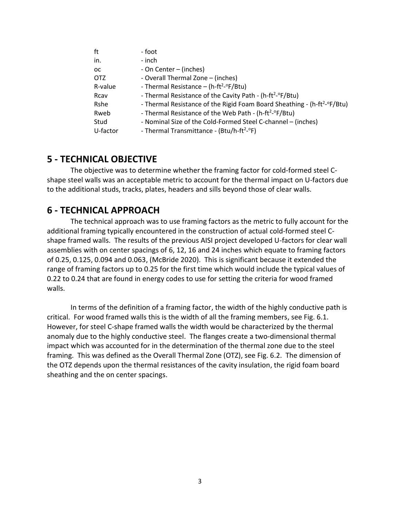<span id="page-9-1"></span>

| ft       | - foot                                                                               |
|----------|--------------------------------------------------------------------------------------|
| in.      | - inch                                                                               |
| 0C       | - On Center – (inches)                                                               |
| OTZ      | - Overall Thermal Zone - (inches)                                                    |
| R-value  | - Thermal Resistance – (h-ft <sup>2</sup> - $\degree$ F/Btu)                         |
| Rcav     | - Thermal Resistance of the Cavity Path - (h-ft <sup>2</sup> -°F/Btu)                |
| Rshe     | - Thermal Resistance of the Rigid Foam Board Sheathing - (h-ft <sup>2</sup> -°F/Btu) |
| Rweb     | - Thermal Resistance of the Web Path - (h-ft <sup>2</sup> -°F/Btu)                   |
| Stud     | - Nominal Size of the Cold-Formed Steel C-channel - (inches)                         |
| U-factor | - Thermal Transmittance - (Btu/h-ft <sup>2</sup> -°F)                                |

### <span id="page-9-0"></span>**5 - TECHNICAL OBJECTIVE**

The objective was to determine whether the framing factor for cold-formed steel Cshape steel walls was an acceptable metric to account for the thermal impact on U-factors due to the additional studs, tracks, plates, headers and sills beyond those of clear walls.

### **6 - TECHNICAL APPROACH**

The technical approach was to use framing factors as the metric to fully account for the additional framing typically encountered in the construction of actual cold-formed steel Cshape framed walls. The results of the previous AISI project developed U-factors for clear wall assemblies with on center spacings of 6, 12, 16 and 24 inches which equate to framing factors of 0.25, 0.125, 0.094 and 0.063, (McBride 2020). This is significant because it extended the range of framing factors up to 0.25 for the first time which would include the typical values of 0.22 to 0.24 that are found in energy codes to use for setting the criteria for wood framed walls.

In terms of the definition of a framing factor, the width of the highly conductive path is critical. For wood framed walls this is the width of all the framing members, see Fig. 6.1. However, for steel C-shape framed walls the width would be characterized by the thermal anomaly due to the highly conductive steel. The flanges create a two-dimensional thermal impact which was accounted for in the determination of the thermal zone due to the steel framing. This was defined as the Overall Thermal Zone (OTZ), see Fig. 6.2. The dimension of the OTZ depends upon the thermal resistances of the cavity insulation, the rigid foam board sheathing and the on center spacings.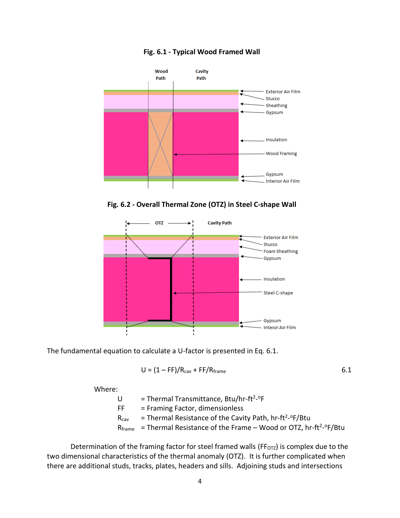

### <span id="page-10-0"></span>**1Fig. 6.1 - Typical Wood Framed Wall**

<span id="page-10-1"></span>2**Fig. 6.2 - Overall Thermal Zone (OTZ) in Steel C-shape Wall**



The fundamental equation to calculate a U-factor is presented in Eq. 6.1.

$$
U = (1 - FF)/R_{\text{cav}} + FF/R_{\text{frame}} \tag{6.1}
$$

Where:

 $U =$ Thermal Transmittance, Btu/hr-ft<sup>2</sup>-°F FF = Framing Factor, dimensionless  $R_{\text{cav}}$  = Thermal Resistance of the Cavity Path, hr-ft<sup>2</sup>-<sup>o</sup>F/Btu  $R_{frame}$  = Thermal Resistance of the Frame – Wood or OTZ, hr-ft<sup>2</sup>-<sup>o</sup>F/Btu

Determination of the framing factor for steel framed walls (FF $_{\text{OTZ}}$ ) is complex due to the two dimensional characteristics of the thermal anomaly (OTZ). It is further complicated when there are additional studs, tracks, plates, headers and sills. Adjoining studs and intersections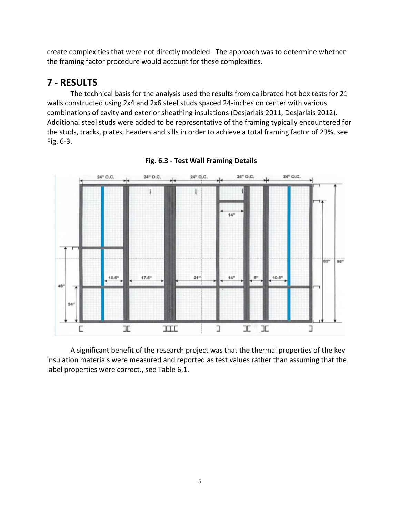create complexities that were not directly modeled. The approach was to determine whether the framing factor procedure would account for these complexities.

# <span id="page-11-0"></span>**7 - RESULTS**

The technical basis for the analysis used the results from calibrated hot box tests for 21 walls constructed using 2x4 and 2x6 steel studs spaced 24-inches on center with various combinations of cavity and exterior sheathing insulations (Desjarlais 2011, Desjarlais 2012). Additional steel studs were added to be representative of the framing typically encountered for the studs, tracks, plates, headers and sills in order to achieve a total framing factor of 23%, see Fig. 6-3.



<span id="page-11-1"></span>

A significant benefit of the research project was that the thermal properties of the key insulation materials were measured and reported as test values rather than assuming that the label properties were correct., see Table 6.1.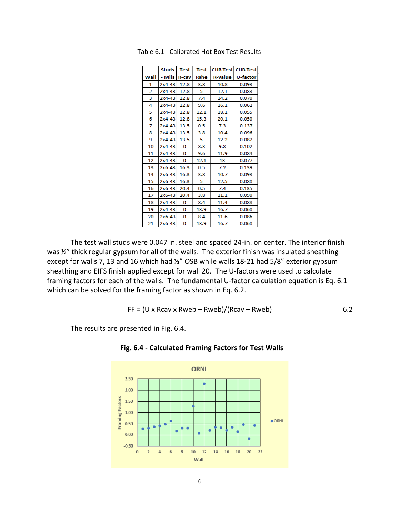|      | <b>Studs</b> | <b>Test</b>  | <b>Test</b> | <b>CHB Test CHB Test</b> |                 |
|------|--------------|--------------|-------------|--------------------------|-----------------|
| Wall | - Mils       | <b>R-cav</b> | <b>Rshe</b> | <b>R-value</b>           | <b>U-factor</b> |
| 1    | $2x4-43$     | 12.8         | 3.8         | 10.8                     | 0.093           |
| 2    | 2x4-43       | 12.8         | 5           | 12.1                     | 0.083           |
| 3    | $2x4-43$     | 12.8         | 7.4         | 14.2                     | 0.070           |
| 4    | $2x4-43$     | 12.8         | 9.6         | 16.1                     | 0.062           |
| 5    | $2x4-43$     | 12.8         | 12.1        | 18.1                     | 0.055           |
| 6    | $2x4-43$     | 12.8         | 15.3        | 20.1                     | 0.050           |
| 7    | $2x4 - 43$   | 13.5         | 0.5         | 7.3                      | 0.137           |
| 8    | $2x4-43$     | 13.5         | 3.8         | 10.4                     | 0.096           |
| 9    | $2x4-43$     | 13.5         | 5           | 12.2                     | 0.082           |
| 10   | $2x4-43$     | 0            | 8.3         | 9.8                      | 0.102           |
| 11   | $2x4-43$     | 0            | 9.6         | 11.9                     | 0.084           |
| 12   | $2x4-43$     | 0            | 12.1        | 13                       | 0.077           |
| 13   | $2x6-43$     | 16.3         | 0.5         | 7.2                      | 0.139           |
| 14   | $2x6-43$     | 16.3         | 3.8         | 10.7                     | 0.093           |
| 15   | $2x6-43$     | 16.3         | 5           | 12.5                     | 0.080           |
| 16   | 2x6-43       | 20.4         | 0.5         | 7.4                      | 0.135           |
| 17   | 2x6-43       | 20.4         | 3.8         | 11.1                     | 0.090           |
| 18   | $2x4 - 43$   | 0            | 8.4         | 11.4                     | 0.088           |
| 19   | $2x4 - 43$   | 0            | 13.9        | 16.7                     | 0.060           |
| 20   | $2x6-43$     | 0            | 8.4         | 11.6                     | 0.086           |
| 21   | 2x6-43       | 0            | 13.9        | 16.7                     | 0.060           |

<span id="page-12-1"></span>1Table 6.1 - Calibrated Hot Box Test Results

The test wall studs were 0.047 in. steel and spaced 24-in. on center. The interior finish was <sup>1/2</sup> thick regular gypsum for all of the walls. The exterior finish was insulated sheathing except for walls 7, 13 and 16 which had ½" OSB while walls 18-21 had 5/8" exterior gypsum sheathing and EIFS finish applied except for wall 20. The U-factors were used to calculate framing factors for each of the walls. The fundamental U-factor calculation equation is Eq. 6.1 which can be solved for the framing factor as shown in Eq. 6.2.

$$
FF = (U \times Rcav \times Rweb - Rweb)/(Rcav - Rweb)
$$

The results are presented in Fig. 6.4.



<span id="page-12-0"></span>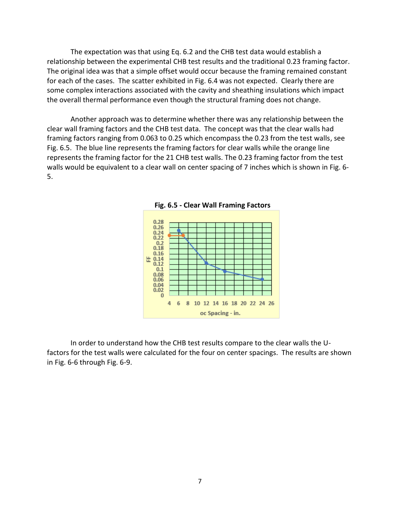The expectation was that using Eq. 6.2 and the CHB test data would establish a relationship between the experimental CHB test results and the traditional 0.23 framing factor. The original idea was that a simple offset would occur because the framing remained constant for each of the cases. The scatter exhibited in Fig. 6.4 was not expected. Clearly there are some complex interactions associated with the cavity and sheathing insulations which impact the overall thermal performance even though the structural framing does not change.

Another approach was to determine whether there was any relationship between the clear wall framing factors and the CHB test data. The concept was that the clear walls had framing factors ranging from 0.063 to 0.25 which encompass the 0.23 from the test walls, see Fig. 6.5. The blue line represents the framing factors for clear walls while the orange line represents the framing factor for the 21 CHB test walls. The 0.23 framing factor from the test walls would be equivalent to a clear wall on center spacing of 7 inches which is shown in Fig. 6- 5.



<span id="page-13-0"></span>

In order to understand how the CHB test results compare to the clear walls the Ufactors for the test walls were calculated for the four on center spacings. The results are shown in Fig. 6-6 through Fig. 6-9.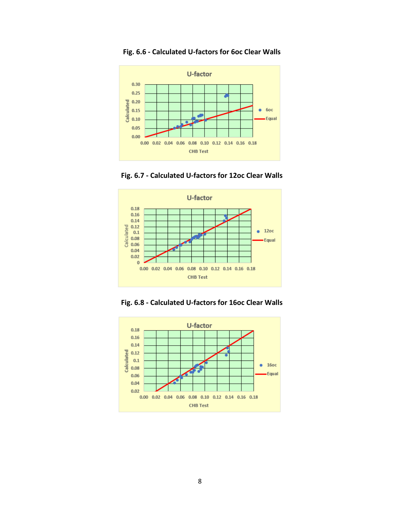

### <span id="page-14-0"></span>**Fig. 6.6 - Calculated U-factors for 6oc Clear Walls**

<span id="page-14-1"></span>



<span id="page-14-2"></span>

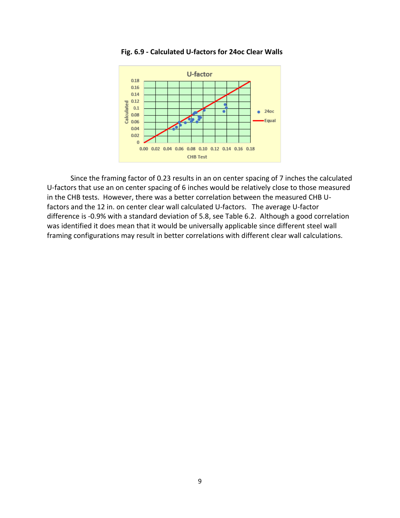

### <span id="page-15-0"></span>9**Fig. 6.9 - Calculated U-factors for 24oc Clear Walls**

Since the framing factor of 0.23 results in an on center spacing of 7 inches the calculated U-factors that use an on center spacing of 6 inches would be relatively close to those measured in the CHB tests. However, there was a better correlation between the measured CHB Ufactors and the 12 in. on center clear wall calculated U-factors. The average U-factor difference is -0.9% with a standard deviation of 5.8, see Table 6.2. Although a good correlation was identified it does mean that it would be universally applicable since different steel wall framing configurations may result in better correlations with different clear wall calculations.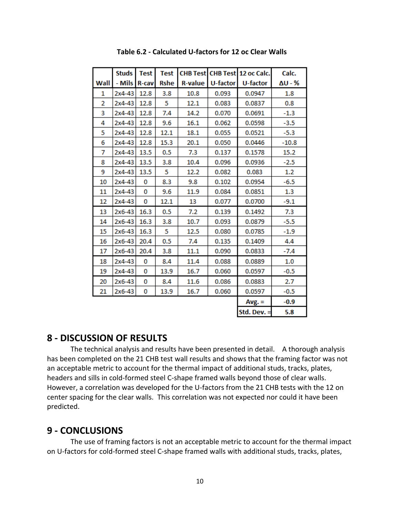|      | <b>Studs</b> | <b>Test</b> | <b>Test</b> |                |          | CHB Test CHB Test 12 oc Calc. | Calc.   |
|------|--------------|-------------|-------------|----------------|----------|-------------------------------|---------|
| Wall | - Mils R-cav |             | <b>Rshe</b> | <b>R-value</b> | U-factor | U-factor                      | ΔU - %  |
| 1    | 2x4-43       | 12.8        | 3.8         | 10.8           | 0.093    | 0.0947                        | 1.8     |
| 2    | $2x4-43$     | 12.8        | 5           | 12.1           | 0.083    | 0.0837                        | 0.8     |
| 3    | 2x4-43       | 12.8        | 7.4         | 14.2           | 0.070    | 0.0691                        | $-1.3$  |
| 4    | 2x4-43       | 12.8        | 9.6         | 16.1           | 0.062    | 0.0598                        | $-3.5$  |
| 5    | 2x4-43       | 12.8        | 12.1        | 18.1           | 0.055    | 0.0521                        | $-5.3$  |
| 6    | 2x4-43       | 12.8        | 15.3        | 20.1           | 0.050    | 0.0446                        | $-10.8$ |
| 7    | 2x4-43       | 13.5        | 0.5         | 7.3            | 0.137    | 0.1578                        | 15.2    |
| 8    | 2x4-43       | 13.5        | 3.8         | 10.4           | 0.096    | 0.0936                        | $-2.5$  |
| 9    | 2x4-43       | 13.5        | 5           | 12.2           | 0.082    | 0.083                         | 1.2     |
| 10   | 2x4-43       | 0           | 8.3         | 9.8            | 0.102    | 0.0954                        | $-6.5$  |
| 11   | 2x4-43       | 0           | 9.6         | 11.9           | 0.084    | 0.0851                        | $1.3\,$ |
| 12   | 2x4-43       | 0           | 12.1        | 13             | 0.077    | 0.0700                        | $-9.1$  |
| 13   | 2x6-43       | 16.3        | 0.5         | 7.2            | 0.139    | 0.1492                        | 7.3     |
| 14   | 2x6-43       | 16.3        | 3.8         | 10.7           | 0.093    | 0.0879                        | $-5.5$  |
| 15   | 2x6-43       | 16.3        | 5           | 12.5           | 0.080    | 0.0785                        | $-1.9$  |
| 16   | $2x6-43$     | 20.4        | 0.5         | 7.4            | 0.135    | 0.1409                        | 4.4     |
| 17   | 2x6-43       | 20.4        | 3.8         | 11.1           | 0.090    | 0.0833                        | $-7.4$  |
| 18   | 2x4-43       | 0           | 8.4         | 11.4           | 0.088    | 0.0889                        | 1.0     |
| 19   | 2x4-43       | 0           | 13.9        | 16.7           | 0.060    | 0.0597                        | $-0.5$  |
| 20   | 2x6-43       | 0           | 8.4         | 11.6           | 0.086    | 0.0883                        | 2.7     |
| 21   | 2x6-43       | 0           | 13.9        | 16.7           | 0.060    | 0.0597                        | $-0.5$  |
|      |              |             |             |                |          | $Avg. =$                      | $-0.9$  |
|      |              |             |             |                |          | Std. Dev. =                   | 5.8     |

<span id="page-16-2"></span>2**Table 6.2 - Calculated U-factors for 12 oc Clear Walls**

### <span id="page-16-0"></span>**8 - DISCUSSION OF RESULTS**

The technical analysis and results have been presented in detail. A thorough analysis has been completed on the 21 CHB test wall results and shows that the framing factor was not an acceptable metric to account for the thermal impact of additional studs, tracks, plates, headers and sills in cold-formed steel C-shape framed walls beyond those of clear walls. However, a correlation was developed for the U-factors from the 21 CHB tests with the 12 on center spacing for the clear walls. This correlation was not expected nor could it have been predicted.

### <span id="page-16-1"></span>**9 - CONCLUSIONS**

The use of framing factors is not an acceptable metric to account for the thermal impact on U-factors for cold-formed steel C-shape framed walls with additional studs, tracks, plates,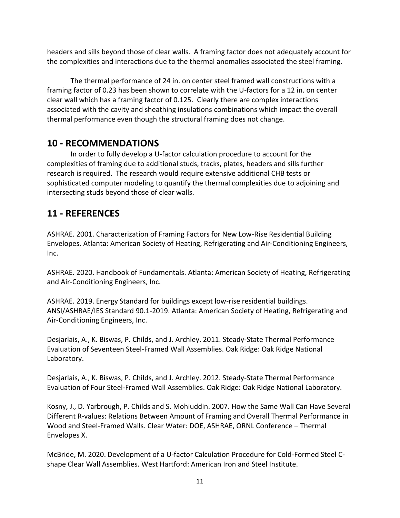headers and sills beyond those of clear walls. A framing factor does not adequately account for the complexities and interactions due to the thermal anomalies associated the steel framing.

The thermal performance of 24 in. on center steel framed wall constructions with a framing factor of 0.23 has been shown to correlate with the U-factors for a 12 in. on center clear wall which has a framing factor of 0.125. Clearly there are complex interactions associated with the cavity and sheathing insulations combinations which impact the overall thermal performance even though the structural framing does not change.

# <span id="page-17-0"></span>**10 - RECOMMENDATIONS**

In order to fully develop a U-factor calculation procedure to account for the complexities of framing due to additional studs, tracks, plates, headers and sills further research is required. The research would require extensive additional CHB tests or sophisticated computer modeling to quantify the thermal complexities due to adjoining and intersecting studs beyond those of clear walls.

# <span id="page-17-1"></span>**11 - REFERENCES**

ASHRAE. 2001. Characterization of Framing Factors for New Low-Rise Residential Building Envelopes. Atlanta: American Society of Heating, Refrigerating and Air-Conditioning Engineers, Inc.

ASHRAE. 2020. Handbook of Fundamentals. Atlanta: American Society of Heating, Refrigerating and Air-Conditioning Engineers, Inc.

ASHRAE. 2019. Energy Standard for buildings except low-rise residential buildings. ANSI/ASHRAE/IES Standard 90.1-2019. Atlanta: American Society of Heating, Refrigerating and Air-Conditioning Engineers, Inc.

Desjarlais, A., K. Biswas, P. Childs, and J. Archley. 2011. Steady-State Thermal Performance Evaluation of Seventeen Steel-Framed Wall Assemblies. Oak Ridge: Oak Ridge National Laboratory.

Desjarlais, A., K. Biswas, P. Childs, and J. Archley. 2012. Steady-State Thermal Performance Evaluation of Four Steel-Framed Wall Assemblies. Oak Ridge: Oak Ridge National Laboratory.

Kosny, J., D. Yarbrough, P. Childs and S. Mohiuddin. 2007. How the Same Wall Can Have Several Different R-values: Relations Between Amount of Framing and Overall Thermal Performance in Wood and Steel-Framed Walls. Clear Water: DOE, ASHRAE, ORNL Conference – Thermal Envelopes X.

McBride, M. 2020. Development of a U-factor Calculation Procedure for Cold-Formed Steel Cshape Clear Wall Assemblies. West Hartford: American Iron and Steel Institute.